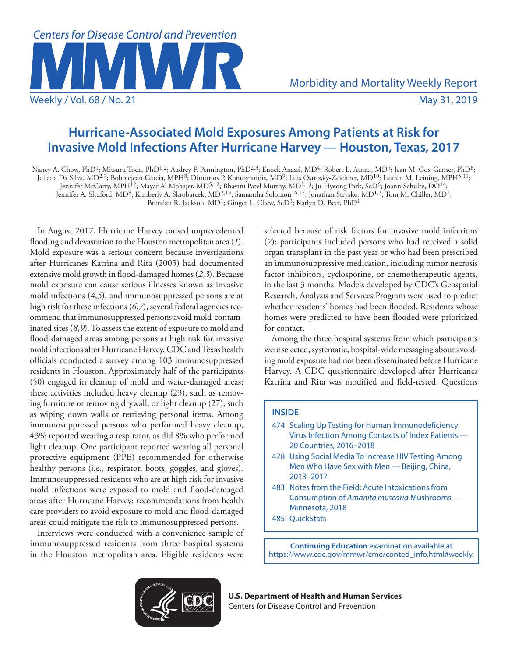

# **Hurricane-Associated Mold Exposures Among Patients at Risk for Invasive Mold Infections After Hurricane Harvey — Houston, Texas, 2017**

Nancy A. Chow, PhD<sup>1</sup>; Mitsuru Toda, PhD<sup>1,2</sup>; Audrey F. Pennington, PhD<sup>2,3</sup>; Enock Anassi, MD<sup>4</sup>; Robert L. Atmar, MD<sup>5</sup>; Jean M. Cox-Ganser, PhD<sup>6</sup>; Juliana Da Silva, MD<sup>2,7</sup>; Bobbiejean Garcia, MPH<sup>8</sup>; Dimitrios P. Kontoyiannis, MD<sup>9</sup>; Luis Ostrosky-Zeichner, MD<sup>10</sup>; Lauren M. Leining, MPH<sup>5,11</sup>; Jennifer McCarty, MPH12; Mayar Al Mohajer, MD5,12; Bhavini Patel Murthy, MD2,13; Ju-Hyeong Park, ScD6; Joann Schulte, DO14; Jennifer A. Shuford, MD<sup>8</sup>; Kimberly A. Skrobarcek, MD<sup>2,15</sup>; Samantha Solomon<sup>16,17</sup>; Jonathan Strysko, MD<sup>1,2</sup>; Tom M. Chiller, MD<sup>1</sup>; Brendan R. Jackson, MD1; Ginger L. Chew, ScD3; Karlyn D. Beer, PhD1

In August 2017, Hurricane Harvey caused unprecedented flooding and devastation to the Houston metropolitan area (*1*). Mold exposure was a serious concern because investigations after Hurricanes Katrina and Rita (2005) had documented extensive mold growth in flood-damaged homes (*2*,*3*). Because mold exposure can cause serious illnesses known as invasive mold infections (*4*,*5*), and immunosuppressed persons are at high risk for these infections (*6*,*7*), several federal agencies recommend that immunosuppressed persons avoid mold-contaminated sites (*8*,*9*). To assess the extent of exposure to mold and flood-damaged areas among persons at high risk for invasive mold infections after Hurricane Harvey, CDC and Texas health officials conducted a survey among 103 immunosuppressed residents in Houston. Approximately half of the participants (50) engaged in cleanup of mold and water-damaged areas; these activities included heavy cleanup (23), such as removing furniture or removing drywall, or light cleanup (27), such as wiping down walls or retrieving personal items. Among immunosuppressed persons who performed heavy cleanup, 43% reported wearing a respirator, as did 8% who performed light cleanup. One participant reported wearing all personal protective equipment (PPE) recommended for otherwise healthy persons (i.e., respirator, boots, goggles, and gloves). Immunosuppressed residents who are at high risk for invasive mold infections were exposed to mold and flood-damaged areas after Hurricane Harvey; recommendations from health care providers to avoid exposure to mold and flood-damaged areas could mitigate the risk to immunosuppressed persons.

Interviews were conducted with a convenience sample of immunosuppressed residents from three hospital systems in the Houston metropolitan area. Eligible residents were

selected because of risk factors for invasive mold infections (*7*); participants included persons who had received a solid organ transplant in the past year or who had been prescribed an immunosuppressive medication, including tumor necrosis factor inhibitors, cyclosporine, or chemotherapeutic agents, in the last 3 months. Models developed by CDC's Geospatial Research, Analysis and Services Program were used to predict whether residents' homes had been flooded. Residents whose homes were predicted to have been flooded were prioritized for contact.

Among the three hospital systems from which participants were selected, systematic, hospital-wide messaging about avoiding mold exposure had not been disseminated before Hurricane Harvey. A CDC questionnaire developed after Hurricanes Katrina and Rita was modified and field-tested. Questions

## **INSIDE**

- 474 Scaling Up Testing for Human Immunodeficiency Virus Infection Among Contacts of Index Patients — 20 Countries, 2016–2018
- 478 Using Social Media To Increase HIV Testing Among Men Who Have Sex with Men — Beijing, China, 2013–2017
- 483 Notes from the Field: Acute Intoxications from Consumption of *Amanita muscaria* Mushrooms — Minnesota, 2018
- 485 QuickStats

**Continuing Education** examination available at [https://www.cdc.gov/mmwr/cme/conted\\_info.html#weekly](https://www.cdc.gov/mmwr/cme/conted_info.html#weekly).



**U.S. Department of Health and Human Services** Centers for Disease Control and Prevention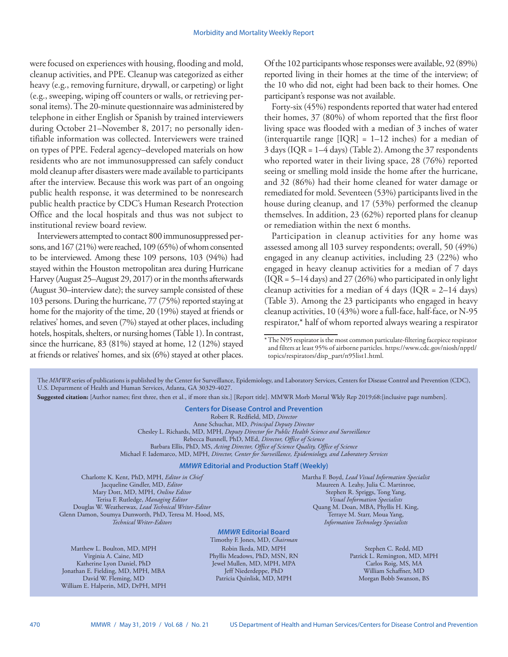were focused on experiences with housing, flooding and mold, cleanup activities, and PPE. Cleanup was categorized as either heavy (e.g., removing furniture, drywall, or carpeting) or light (e.g., sweeping, wiping off counters or walls, or retrieving personal items). The 20-minute questionnaire was administered by telephone in either English or Spanish by trained interviewers during October 21–November 8, 2017; no personally identifiable information was collected. Interviewers were trained on types of PPE. Federal agency–developed materials on how residents who are not immunosuppressed can safely conduct mold cleanup after disasters were made available to participants after the interview. Because this work was part of an ongoing public health response, it was determined to be nonresearch public health practice by CDC's Human Research Protection Office and the local hospitals and thus was not subject to institutional review board review.

Interviewers attempted to contact 800 immunosuppressed persons, and 167 (21%) were reached, 109 (65%) of whom consented to be interviewed. Among these 109 persons, 103 (94%) had stayed within the Houston metropolitan area during Hurricane Harvey (August 25–August 29, 2017) or in the months afterwards (August 30–interview date); the survey sample consisted of these 103 persons. During the hurricane, 77 (75%) reported staying at home for the majority of the time, 20 (19%) stayed at friends or relatives' homes, and seven (7%) stayed at other places, including hotels, hospitals, shelters, or nursing homes (Table 1). In contrast, since the hurricane, 83 (81%) stayed at home, 12 (12%) stayed at friends or relatives' homes, and six (6%) stayed at other places.

Of the 102 participants whose responses were available, 92 (89%) reported living in their homes at the time of the interview; of the 10 who did not, eight had been back to their homes. One participant's response was not available.

Forty-six (45%) respondents reported that water had entered their homes, 37 (80%) of whom reported that the first floor living space was flooded with a median of 3 inches of water (interquartile range  $[IQR] = 1-12$  inches) for a median of 3 days (IQR = 1–4 days) (Table 2). Among the 37 respondents who reported water in their living space, 28 (76%) reported seeing or smelling mold inside the home after the hurricane, and 32 (86%) had their home cleaned for water damage or remediated for mold. Seventeen (53%) participants lived in the house during cleanup, and 17 (53%) performed the cleanup themselves. In addition, 23 (62%) reported plans for cleanup or remediation within the next 6 months.

Participation in cleanup activities for any home was assessed among all 103 survey respondents; overall, 50 (49%) engaged in any cleanup activities, including 23 (22%) who engaged in heavy cleanup activities for a median of 7 days  $( IQR = 5-14 \text{ days})$  and  $27 (26%)$  who participated in only light cleanup activities for a median of 4 days ( $IQR = 2-14$  days) (Table 3). Among the 23 participants who engaged in heavy cleanup activities, 10 (43%) wore a full-face, half-face, or N-95 respirator,\* half of whom reported always wearing a respirator

The *MMWR* series of publications is published by the Center for Surveillance, Epidemiology, and Laboratory Services, Centers for Disease Control and Prevention (CDC), U.S. Department of Health and Human Services, Atlanta, GA 30329-4027. **Suggested citation:** [Author names; first three, then et al., if more than six.] [Report title]. MMWR Morb Mortal Wkly Rep 2019;68:[inclusive page numbers]. **Centers for Disease Control and Prevention** Robert R. Redfield, MD, *Director* Anne Schuchat, MD, *Principal Deputy Director* Chesley L. Richards, MD, MPH, *Deputy Director for Public Health Science and Surveillance* Rebecca Bunnell, PhD, MEd, *Director, Office of Science* Barbara Ellis, PhD, MS, *Acting Director, Office of Science Quality, Office of Science* Michael F. Iademarco, MD, MPH, *Director, Center for Surveillance, Epidemiology, and Laboratory Services MMWR* **Editorial and Production Staff (Weekly)** Charlotte K. Kent, PhD, MPH, *Editor in Chief* Jacqueline Gindler, MD, *Editor* Mary Dott, MD, MPH, *Online Editor* Terisa F. Rutledge, *Managing Editor* Douglas W. Weatherwax, *Lead Technical Writer-Editor* Glenn Damon, Soumya Dunworth, PhD, Teresa M. Hood, MS, *Technical Writer-Editors* Martha F. Boyd, *Lead Visual Information Specialist* Maureen A. Leahy, Julia C. Martinroe, Stephen R. Spriggs, Tong Yang, *Visual Information Specialists* Quang M. Doan, MBA, Phyllis H. King, Terraye M. Starr, Moua Yang,

# *MMWR* **Editorial Board**

Matthew L. Boulton, MD, MPH Virginia A. Caine, MD Katherine Lyon Daniel, PhD Jonathan E. Fielding, MD, MPH, MBA David W. Fleming, MD William E. Halperin, MD, DrPH, MPH

Timothy F. Jones, MD, *Chairman* Robin Ikeda, MD, MPH Phyllis Meadows, PhD, MSN, RN Jewel Mullen, MD, MPH, MPA Jeff Niederdeppe, PhD Patricia Quinlisk, MD, MPH

*Information Technology Specialists*

Stephen C. Redd, MD Patrick L. Remington, MD, MPH Carlos Roig, MS, MA William Schaffner, MD Morgan Bobb Swanson, BS

<sup>\*</sup>The N95 respirator is the most common particulate-filtering facepiece respirator and filters at least 95% of airborne particles. [https://www.cdc.gov/niosh/npptl/](https://www.cdc.gov/niosh/npptl/topics/respirators/disp_part/n95list1.html) [topics/respirators/disp\\_part/n95list1.html.](https://www.cdc.gov/niosh/npptl/topics/respirators/disp_part/n95list1.html)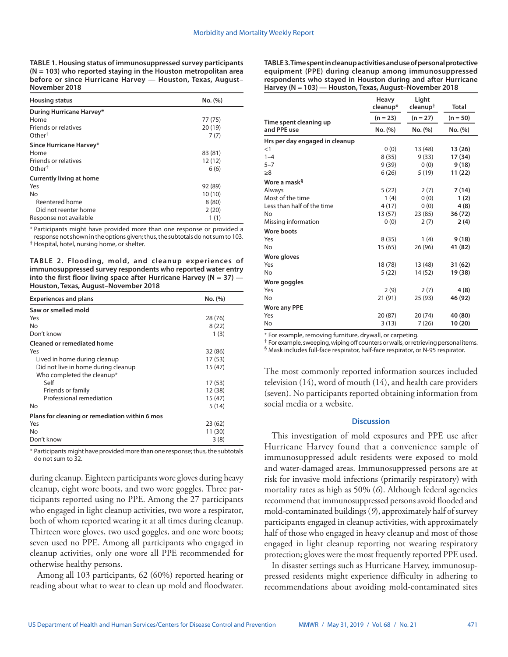**TABLE 1. Housing status of immunosuppressed survey participants (N = 103) who reported staying in the Houston metropolitan area before or since Hurricane Harvey — Houston, Texas, August– November 2018**

| <b>Housing status</b>           | No. (%) |
|---------------------------------|---------|
| During Hurricane Harvey*        |         |
| Home                            | 77 (75) |
| Friends or relatives            | 20(19)  |
| Other <sup>†</sup>              | 7(7)    |
| Since Hurricane Harvey*         |         |
| Home                            | 83 (81) |
| Friends or relatives            | 12 (12) |
| $O$ ther <sup>†</sup>           | 6(6)    |
| <b>Currently living at home</b> |         |
| Yes                             | 92 (89) |
| <b>No</b>                       | 10(10)  |
| Reentered home                  | 8(80)   |
| Did not reenter home            | 2(20)   |
| Response not available          | 1(1)    |

\* Participants might have provided more than one response or provided a response not shown in the options given; thus, the subtotals do not sum to 103. **†** Hospital, hotel, nursing home, or shelter.

**TABLE 2. Flooding, mold, and cleanup experiences of immunosuppressed survey respondents who reported water entry into the first floor living space after Hurricane Harvey (N = 37) — Houston, Texas, August–November 2018**

| <b>Experiences and plans</b>                   | No. (%) |
|------------------------------------------------|---------|
| Saw or smelled mold                            |         |
| Yes                                            | 28 (76) |
| No                                             | 8(22)   |
| Don't know                                     | 1(3)    |
| <b>Cleaned or remediated home</b>              |         |
| Yes                                            | 32 (86) |
| Lived in home during cleanup                   | 17 (53) |
| Did not live in home during cleanup            | 15 (47) |
| Who completed the cleanup*                     |         |
| Self                                           | 17(53)  |
| Friends or family                              | 12 (38) |
| Professional remediation                       | 15 (47) |
| No                                             | 5(14)   |
| Plans for cleaning or remediation within 6 mos |         |
| Yes                                            | 23 (62) |
| Nο                                             | 11 (30) |
| Don't know                                     | 3(8)    |

\* Participants might have provided more than one response; thus, the subtotals do not sum to 32.

during cleanup. Eighteen participants wore gloves during heavy cleanup, eight wore boots, and two wore goggles. Three participants reported using no PPE. Among the 27 participants who engaged in light cleanup activities, two wore a respirator, both of whom reported wearing it at all times during cleanup. Thirteen wore gloves, two used goggles, and one wore boots; seven used no PPE. Among all participants who engaged in cleanup activities, only one wore all PPE recommended for otherwise healthy persons.

Among all 103 participants, 62 (60%) reported hearing or reading about what to wear to clean up mold and floodwater. **TABLE 3. Time spent in cleanup activities and use of personal protective equipment (PPE) during cleanup among immunosuppressed respondents who stayed in Houston during and after Hurricane Harvey (N = 103) — Houston, Texas, August–November 2018**

|                                | Heavy<br>cleanup* | Light<br>cleanup <sup>†</sup> | <b>Total</b> |
|--------------------------------|-------------------|-------------------------------|--------------|
| Time spent cleaning up         | $(n = 23)$        | $(n = 27)$                    | $(n = 50)$   |
| and PPE use                    | No. (%)           | No. (%)                       | No. (%)      |
| Hrs per day engaged in cleanup |                   |                               |              |
| <1                             | 0(0)              | 13 (48)                       | 13 (26)      |
| $1 - 4$                        | 8(35)             | 9(33)                         | 17 (34)      |
| $5 - 7$                        | 9(39)             | 0(0)                          | 9(18)        |
| >8                             | 6(26)             | 5(19)                         | 11 (22)      |
| Wore a mask <sup>§</sup>       |                   |                               |              |
| Always                         | 5(22)             | 2(7)                          | 7(14)        |
| Most of the time               | 1(4)              | 0(0)                          | 1(2)         |
| Less than half of the time     | 4(17)             | 0(0)                          | 4(8)         |
| No                             | 13(57)            | 23 (85)                       | 36 (72)      |
| Missing information            | 0(0)              | 2(7)                          | 2(4)         |
| <b>Wore boots</b>              |                   |                               |              |
| Yes                            | 8(35)             | 1(4)                          | 9(18)        |
| No                             | 15(65)            | 26 (96)                       | 41 (82)      |
| Wore gloves                    |                   |                               |              |
| Yes                            | 18 (78)           | 13 (48)                       | 31 (62)      |
| No                             | 5(22)             | 14 (52)                       | 19 (38)      |
| Wore goggles                   |                   |                               |              |
| Yes                            | 2(9)              | 2(7)                          | 4(8)         |
| No                             | 21 (91)           | 25 (93)                       | 46 (92)      |
| <b>Wore any PPE</b>            |                   |                               |              |
| Yes                            | 20 (87)           | 20(74)                        | 40 (80)      |
| No                             | 3(13)             | 7(26)                         | 10(20)       |

\* For example, removing furniture, drywall, or carpeting.

† For example, sweeping, wiping off counters or walls, or retrieving personal items. § Mask includes full-face respirator, half-face respirator, or N-95 respirator.

The most commonly reported information sources included television (14), word of mouth (14), and health care providers (seven). No participants reported obtaining information from social media or a website.

## **Discussion**

This investigation of mold exposures and PPE use after Hurricane Harvey found that a convenience sample of immunosuppressed adult residents were exposed to mold and water-damaged areas. Immunosuppressed persons are at risk for invasive mold infections (primarily respiratory) with mortality rates as high as 50% (*6*). Although federal agencies recommend that immunosuppressed persons avoid flooded and mold-contaminated buildings (*9*), approximately half of survey participants engaged in cleanup activities, with approximately half of those who engaged in heavy cleanup and most of those engaged in light cleanup reporting not wearing respiratory protection; gloves were the most frequently reported PPE used.

In disaster settings such as Hurricane Harvey, immunosuppressed residents might experience difficulty in adhering to recommendations about avoiding mold-contaminated sites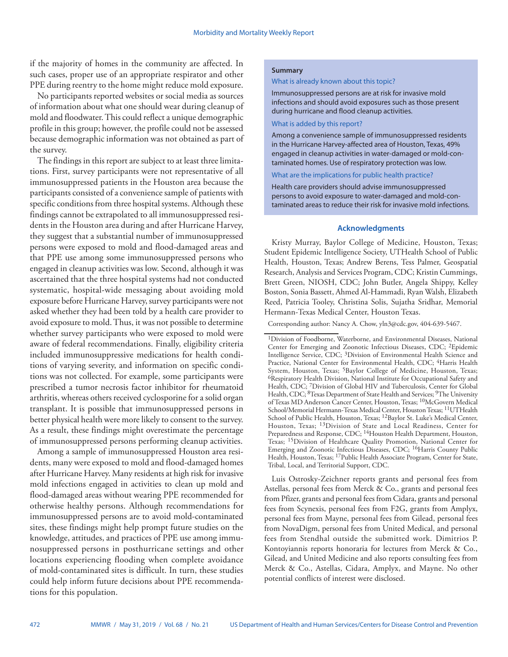if the majority of homes in the community are affected. In such cases, proper use of an appropriate respirator and other PPE during reentry to the home might reduce mold exposure.

No participants reported websites or social media as sources of information about what one should wear during cleanup of mold and floodwater. This could reflect a unique demographic profile in this group; however, the profile could not be assessed because demographic information was not obtained as part of the survey.

The findings in this report are subject to at least three limitations. First, survey participants were not representative of all immunosuppressed patients in the Houston area because the participants consisted of a convenience sample of patients with specific conditions from three hospital systems. Although these findings cannot be extrapolated to all immunosuppressed residents in the Houston area during and after Hurricane Harvey, they suggest that a substantial number of immunosuppressed persons were exposed to mold and flood-damaged areas and that PPE use among some immunosuppressed persons who engaged in cleanup activities was low. Second, although it was ascertained that the three hospital systems had not conducted systematic, hospital-wide messaging about avoiding mold exposure before Hurricane Harvey, survey participants were not asked whether they had been told by a health care provider to avoid exposure to mold. Thus, it was not possible to determine whether survey participants who were exposed to mold were aware of federal recommendations. Finally, eligibility criteria included immunosuppressive medications for health conditions of varying severity, and information on specific conditions was not collected. For example, some participants were prescribed a tumor necrosis factor inhibitor for rheumatoid arthritis, whereas others received cyclosporine for a solid organ transplant. It is possible that immunosuppressed persons in better physical health were more likely to consent to the survey. As a result, these findings might overestimate the percentage of immunosuppressed persons performing cleanup activities.

Among a sample of immunosuppressed Houston area residents, many were exposed to mold and flood-damaged homes after Hurricane Harvey. Many residents at high risk for invasive mold infections engaged in activities to clean up mold and flood-damaged areas without wearing PPE recommended for otherwise healthy persons. Although recommendations for immunosuppressed persons are to avoid mold-contaminated sites, these findings might help prompt future studies on the knowledge, attitudes, and practices of PPE use among immunosuppressed persons in posthurricane settings and other locations experiencing flooding when complete avoidance of mold-contaminated sites is difficult. In turn, these studies could help inform future decisions about PPE recommendations for this population.

#### **Summary**

#### What is already known about this topic?

Immunosuppressed persons are at risk for invasive mold infections and should avoid exposures such as those present during hurricane and flood cleanup activities.

What is added by this report?

Among a convenience sample of immunosuppressed residents in the Hurricane Harvey-affected area of Houston, Texas, 49% engaged in cleanup activities in water-damaged or mold-contaminated homes. Use of respiratory protection was low.

What are the implications for public health practice?

Health care providers should advise immunosuppressed persons to avoid exposure to water-damaged and mold-contaminated areas to reduce their risk for invasive mold infections.

## **Acknowledgments**

Kristy Murray, Baylor College of Medicine, Houston, Texas; Student Epidemic Intelligence Society, UTHealth School of Public Health, Houston, Texas; Andrew Berens, Tess Palmer, Geospatial Research, Analysis and Services Program, CDC; Kristin Cummings, Brett Green, NIOSH, CDC; John Butler, Angela Shippy, Kelley Boston, Sonia Bassett, Ahmed Al-Hammadi, Ryan Walsh, Elizabeth Reed, Patricia Tooley, Christina Solis, Sujatha Sridhar, Memorial Hermann-Texas Medical Center, Houston Texas.

Corresponding author: Nancy A. Chow, [yln3@cdc.gov](mailto:yln3@cdc.gov), 404-639-5467.

Luis Ostrosky-Zeichner reports grants and personal fees from Astellas, personal fees from Merck & Co., grants and personal fees from Pfizer, grants and personal fees from Cidara, grants and personal fees from Scynexis, personal fees from F2G, grants from Amplyx, personal fees from Mayne, personal fees from Gilead, personal fees from NovaDigm, personal fees from United Medical, and personal fees from Stendhal outside the submitted work. Dimitrios P. Kontoyiannis reports honoraria for lectures from Merck & Co., Gilead, and United Medicine and also reports consulting fees from Merck & Co., Astellas, Cidara, Amplyx, and Mayne. No other potential conflicts of interest were disclosed.

<sup>1</sup>Division of Foodborne, Waterborne, and Environmental Diseases, National Center for Emerging and Zoonotic Infectious Diseases, CDC; 2Epidemic Intelligence Service, CDC; 3Division of Environmental Health Science and Practice, National Center for Environmental Health, CDC; <sup>4</sup>Harris Health System, Houston, Texas; 5Baylor College of Medicine, Houston, Texas; 6Respiratory Health Division, National Institute for Occupational Safety and Health, CDC; <sup>7</sup>Division of Global HIV and Tuberculosis, Center for Global Health, CDC; <sup>8</sup>Texas Department of State Health and Services; <sup>9</sup>The University of Texas MD Anderson Cancer Center, Houston, Texas; 10McGovern Medical School/Memorial Hermann-Texas Medical Center, Houston Texas; 11UTHealth School of Public Health, Houston, Texas; 12Baylor St. Luke's Medical Center, Houston, Texas; 13Division of State and Local Readiness, Center for Preparedness and Response, CDC; <sup>14</sup>Houston Health Department, Houston, Texas; 15Division of Healthcare Quality Promotion, National Center for Emerging and Zoonotic Infectious Diseases, CDC; 16Harris County Public Health, Houston, Texas; 17Public Health Associate Program, Center for State, Tribal, Local, and Territorial Support, CDC.